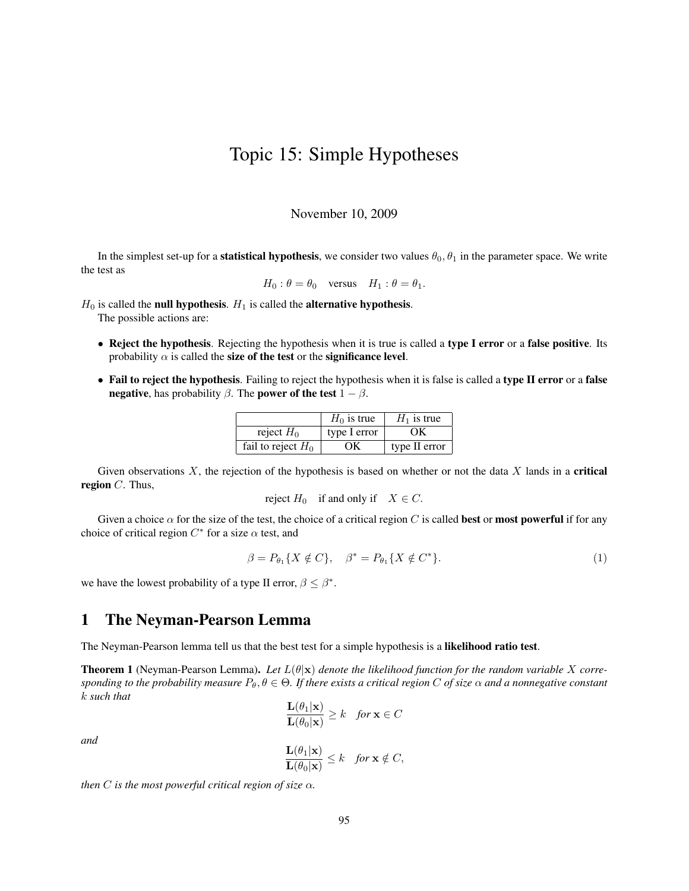## Topic 15: Simple Hypotheses

## November 10, 2009

In the simplest set-up for a **statistical hypothesis**, we consider two values  $\theta_0$ ,  $\theta_1$  in the parameter space. We write the test as

$$
H_0: \theta = \theta_0
$$
 versus  $H_1: \theta = \theta_1$ .

 $H_0$  is called the null hypothesis.  $H_1$  is called the alternative hypothesis. The possible actions are:

- Reject the hypothesis. Rejecting the hypothesis when it is true is called a type I error or a false positive. Its probability  $\alpha$  is called the size of the test or the significance level.
- Fail to reject the hypothesis. Failing to reject the hypothesis when it is false is called a type II error or a false negative, has probability  $\beta$ . The power of the test  $1 - \beta$ .

|                      | $H_0$ is true | $H_1$ is true |
|----------------------|---------------|---------------|
| reject $H_0$         | type I error  | OК            |
| fail to reject $H_0$ | OК            | type II error |

Given observations  $X$ , the rejection of the hypothesis is based on whether or not the data  $X$  lands in a **critical** region  $C$ . Thus,

reject  $H_0$  if and only if  $X \in C$ .

Given a choice  $\alpha$  for the size of the test, the choice of a critical region C is called **best** or **most powerful** if for any choice of critical region  $C^*$  for a size  $\alpha$  test, and

$$
\beta = P_{\theta_1} \{ X \notin C \}, \quad \beta^* = P_{\theta_1} \{ X \notin C^* \}. \tag{1}
$$

we have the lowest probability of a type II error,  $\beta \leq \beta^*$ .

## 1 The Neyman-Pearson Lemma

The Neyman-Pearson lemma tell us that the best test for a simple hypothesis is a likelihood ratio test.

**Theorem 1** (Neyman-Pearson Lemma). Let  $L(\theta|\mathbf{x})$  denote the likelihood function for the random variable X corre*sponding to the probability measure*  $P_\theta$ ,  $\theta \in \Theta$ . If there exists a critical region C of size  $\alpha$  and a nonnegative constant k *such that*

$$
\frac{\mathbf{L}(\theta_1|\mathbf{x})}{\mathbf{L}(\theta_0|\mathbf{x})} \ge k \quad \textit{for } \mathbf{x} \in C
$$

*and*

$$
\frac{\mathbf{L}(\theta_1|\mathbf{x})}{\mathbf{L}(\theta_0|\mathbf{x})} \leq k \quad \text{for } \mathbf{x} \notin C,
$$

*then*  $C$  *is the most powerful critical region of size*  $\alpha$ *.*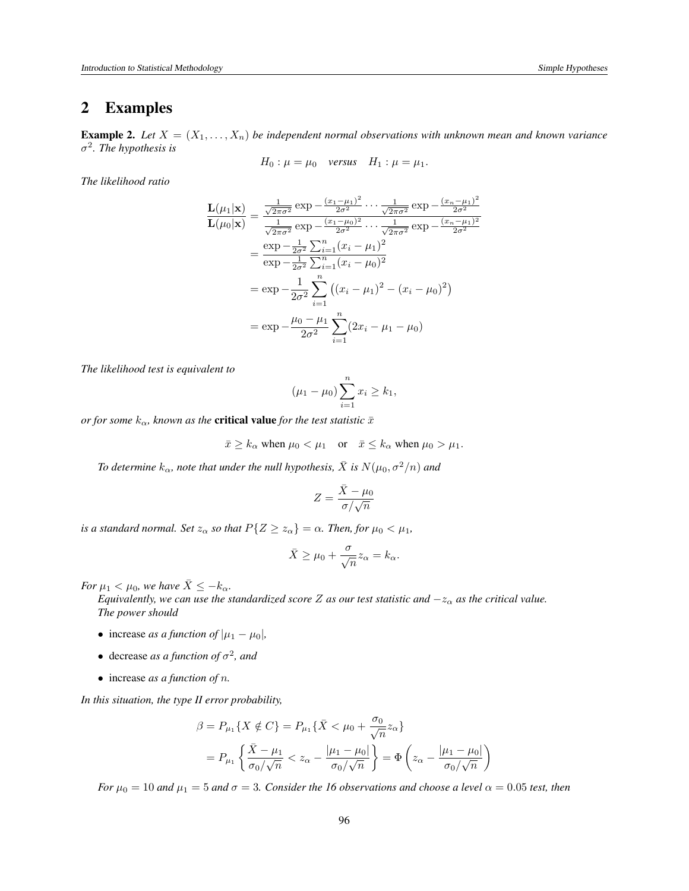## 2 Examples

**Example 2.** Let  $X = (X_1, \ldots, X_n)$  be independent normal observations with unknown mean and known variance σ 2 *. The hypothesis is*

$$
H_0: \mu = \mu_0 \quad versus \quad H_1: \mu = \mu_1.
$$

*The likelihood ratio*

$$
\frac{\mathbf{L}(\mu_1|\mathbf{x})}{\mathbf{L}(\mu_0|\mathbf{x})} = \frac{\frac{1}{\sqrt{2\pi\sigma^2}} \exp\left(-\frac{(x_1-\mu_1)^2}{2\sigma^2}\right) \cdots \frac{1}{\sqrt{2\pi\sigma^2}} \exp\left(-\frac{(x_n-\mu_1)^2}{2\sigma^2}\right)}{\frac{1}{\sqrt{2\pi\sigma^2}} \exp\left(-\frac{(x_1-\mu_0)^2}{2\sigma^2}\right) \cdots \frac{1}{\sqrt{2\pi\sigma^2}} \exp\left(-\frac{(x_n-\mu_1)^2}{2\sigma^2}\right)} \\
= \frac{\exp\left(-\frac{1}{2\sigma^2}\sum_{i=1}^n (x_i-\mu_1)^2\right)}{\exp\left(-\frac{1}{2\sigma^2}\sum_{i=1}^n (x_i-\mu_0)^2\right)} \\
= \exp\left(-\frac{1}{2\sigma^2}\sum_{i=1}^n \left((x_i-\mu_1)^2 - (x_i-\mu_0)^2\right)\right) \\
= \exp\left(-\frac{\mu_0-\mu_1}{2\sigma^2}\sum_{i=1}^n (2x_i-\mu_1-\mu_0)\right)
$$

*The likelihood test is equivalent to*

$$
(\mu_1 - \mu_0) \sum_{i=1}^n x_i \ge k_1,
$$

*or for some*  $k_{\alpha}$ , known as the **critical value** *for the test statistic*  $\bar{x}$ 

$$
\bar{x} \ge k_{\alpha}
$$
 when  $\mu_0 < \mu_1$  or  $\bar{x} \le k_{\alpha}$  when  $\mu_0 > \mu_1$ .

*To determine*  $k_{\alpha}$ *, note that under the null hypothesis,*  $\bar{X}$  *is*  $N(\mu_0, \sigma^2/n)$  *and* 

$$
Z = \frac{\bar{X} - \mu_0}{\sigma / \sqrt{n}}
$$

*is a standard normal. Set*  $z_\alpha$  *so that*  $P\{Z \geq z_\alpha\} = \alpha$ *. Then, for*  $\mu_0 < \mu_1$ *,* 

$$
\bar{X} \ge \mu_0 + \frac{\sigma}{\sqrt{n}} z_\alpha = k_\alpha.
$$

*For*  $\mu_1 < \mu_0$ *, we have*  $\bar{X} \leq -k_\alpha$ *.* 

*Equivalently, we can use the standardized score* Z *as our test statistic and*  $-z_{\alpha}$  *as the critical value. The power should*

- increase *as a function of*  $|\mu_1 \mu_0|$ ,
- decrease *as a function of*  $\sigma^2$ *, and*
- increase *as a function of* n*.*

*In this situation, the type II error probability,*

$$
\beta = P_{\mu_1} \{ X \notin C \} = P_{\mu_1} \{ \bar{X} < \mu_0 + \frac{\sigma_0}{\sqrt{n}} z_\alpha \}
$$
\n
$$
= P_{\mu_1} \left\{ \frac{\bar{X} - \mu_1}{\sigma_0 / \sqrt{n}} < z_\alpha - \frac{|\mu_1 - \mu_0|}{\sigma_0 / \sqrt{n}} \right\} = \Phi \left( z_\alpha - \frac{|\mu_1 - \mu_0|}{\sigma_0 / \sqrt{n}} \right)
$$

*For*  $\mu_0 = 10$  *and*  $\mu_1 = 5$  *and*  $\sigma = 3$ *. Consider the 16 observations and choose a level*  $\alpha = 0.05$  *test, then*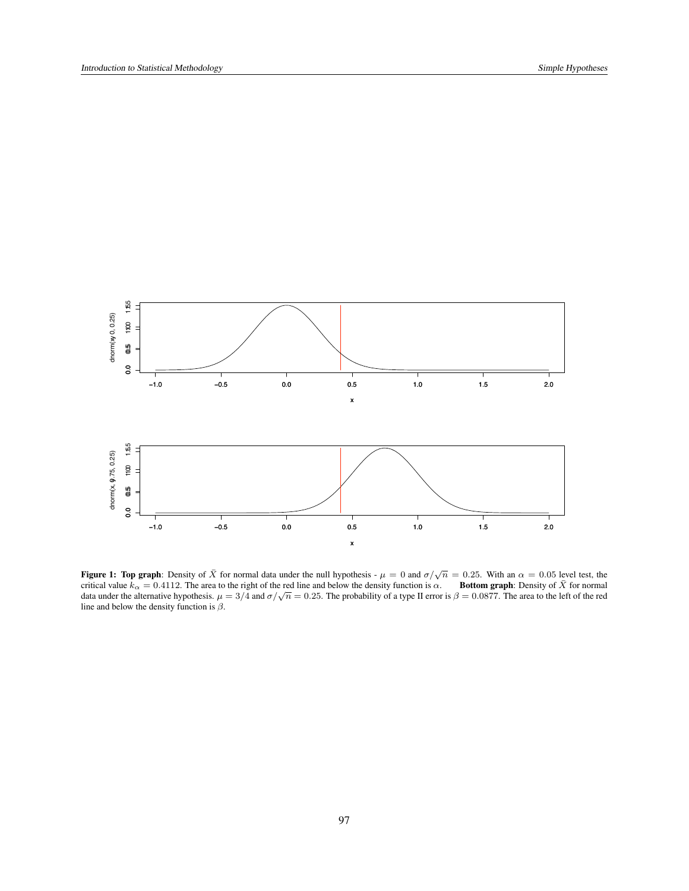

**Figure 1: Top graph**: Density of  $\bar{X}$  for normal data under the null hypothesis -  $\mu = 0$  and  $\sigma/\sqrt{n} = 0.25$ . With an  $\alpha = 0.05$  level test, the critical value  $k_{\alpha} = 0.4112$ . The area to the right of the red line an line and below the density function is  $\beta$ .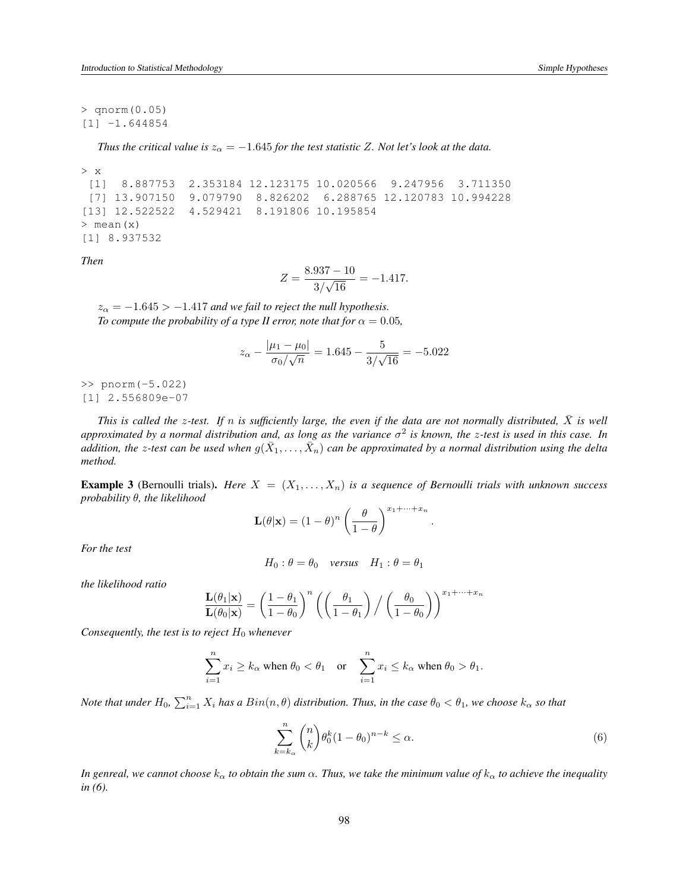> qnorm(0.05) [1] -1.644854

*Thus the critical value is*  $z_{\alpha} = -1.645$  *for the test statistic Z. Not let's look at the data.* 

```
> x
 [1] 8.887753 2.353184 12.123175 10.020566 9.247956 3.711350
 [7] 13.907150 9.079790 8.826202 6.288765 12.120783 10.994228
[13] 12.522522 4.529421 8.191806 10.195854
> mean(x)
[1] 8.937532
```
*Then*

$$
Z = \frac{8.937 - 10}{3/\sqrt{16}} = -1.417.
$$

 $z_{\alpha} = -1.645 > -1.417$  *and we fail to reject the null hypothesis. To compute the probability of a type II error, note that for*  $\alpha = 0.05$ *,* 

$$
z_{\alpha} - \frac{|\mu_1 - \mu_0|}{\sigma_0 / \sqrt{n}} = 1.645 - \frac{5}{3 / \sqrt{16}} = -5.022
$$

>> pnorm(-5.022) [1] 2.556809e-07

*This is called the z-test. If* n *is sufficiently large, the even if the data are not normally distributed,*  $\bar{X}$  *is well approximated by a normal distribution and, as long as the variance* σ 2 *is known, the* z*-test is used in this case. In* addition, the z-test can be used when  $g(\bar{X}_1,\ldots,\bar{X}_n)$  can be approximated by a normal distribution using the delta *method.*

**Example 3** (Bernoulli trials). *Here*  $X = (X_1, \ldots, X_n)$  *is a sequence of Bernoulli trials with unknown success probability* θ*, the likelihood*

$$
\mathbf{L}(\theta|\mathbf{x}) = (1 - \theta)^n \left(\frac{\theta}{1 - \theta}\right)^{x_1 + \dots + x_n}
$$

*For the test*

$$
H_0: \theta = \theta_0 \quad versus \quad H_1: \theta = \theta_1
$$

*the likelihood ratio*

$$
\frac{\mathbf{L}(\theta_1|\mathbf{x})}{\mathbf{L}(\theta_0|\mathbf{x})} = \left(\frac{1-\theta_1}{1-\theta_0}\right)^n \left(\left(\frac{\theta_1}{1-\theta_1}\right) / \left(\frac{\theta_0}{1-\theta_0}\right)\right)^{x_1+\dots+x_n}
$$

*Consequently, the test is to reject*  $H_0$  *whenever* 

$$
\sum_{i=1}^n x_i \ge k_\alpha \text{ when } \theta_0 < \theta_1 \quad \text{or} \quad \sum_{i=1}^n x_i \le k_\alpha \text{ when } \theta_0 > \theta_1.
$$

*Note that under*  $H_0$ ,  $\sum_{i=1}^n X_i$  *has a*  $Bin(n, \theta)$  *distribution. Thus, in the case*  $\theta_0 < \theta_1$ *, we choose*  $k_\alpha$  *so that* 

$$
\sum_{k=k_{\alpha}}^{n} \binom{n}{k} \theta_0^k (1-\theta_0)^{n-k} \le \alpha. \tag{6}
$$

.

*In genreal, we cannot choose*  $k_\alpha$  *to obtain the sum*  $\alpha$ . Thus, we take the minimum value of  $k_\alpha$  to achieve the inequality *in (6).*